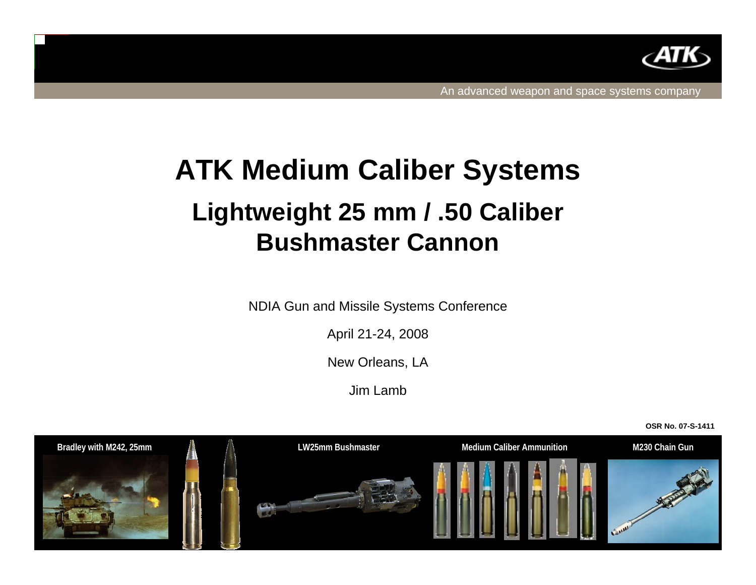

# **ATK Medium Caliber Systems Lightweight 25 mm / .50 Caliber Bushmaster Cannon**

NDIA Gun and Missile Systems Conference

April 21-24, 2008

New Orleans, LA

Jim Lamb

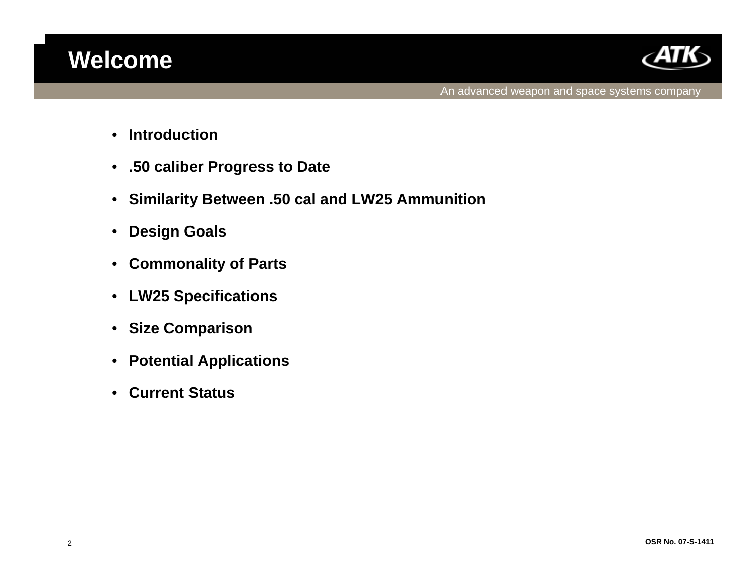

- •**Introduction**
- **.50 caliber Progress to Date**
- **Similarity Between .50 cal and LW25 Ammunition**
- •**Design Goals**
- •**Commonality of Parts**
- •**LW25 Specifications**
- **Size Comparison**
- $\bullet$ **Potential Applications**
- $\bullet$ **Current Status**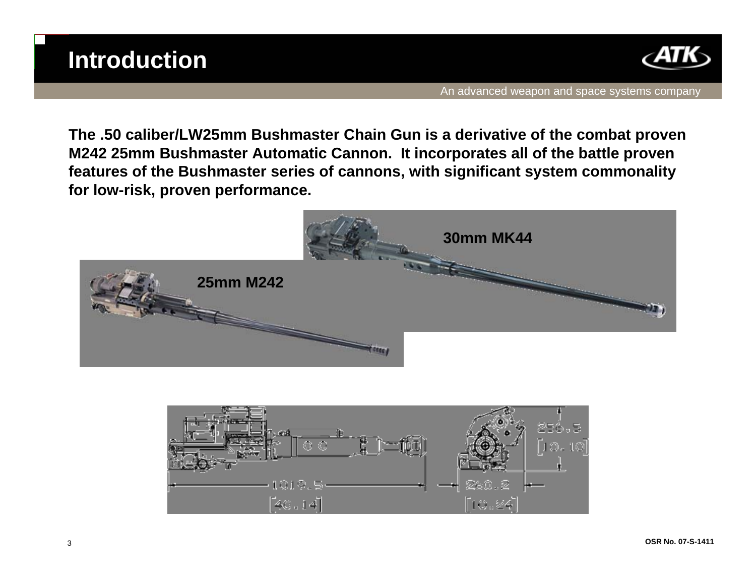

**The .50 caliber/LW25mm Bushmaster Chain Gun is a derivative of the combat proven M242 25mm Bushmaster Automatic Cannon. It incorporates all of the battle proven features of the Bushmaster series of cannons, with significant system commonality for low-risk, proven performance.**



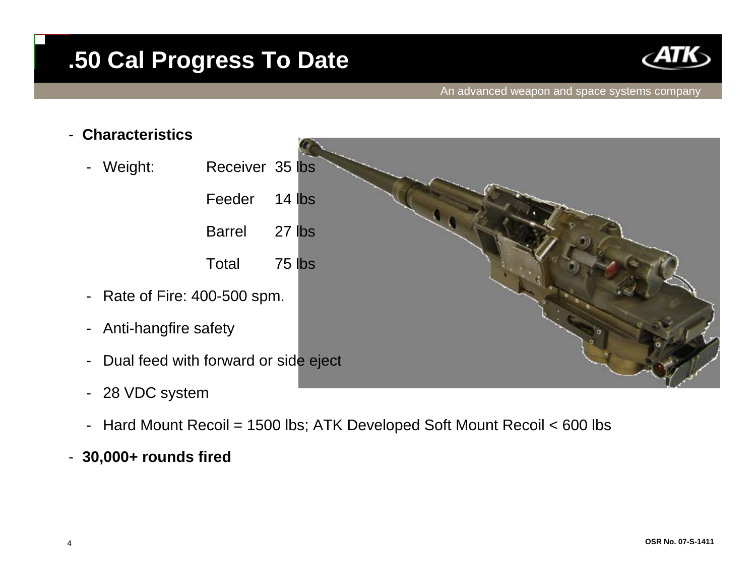

#### An advanced weapon and space systems company



- -28 VDC system
- -Hard Mount Recoil = 1500 lbs; ATK Developed Soft Mount Recoil < 600 lbs

### - **30,000+ rounds fired**

-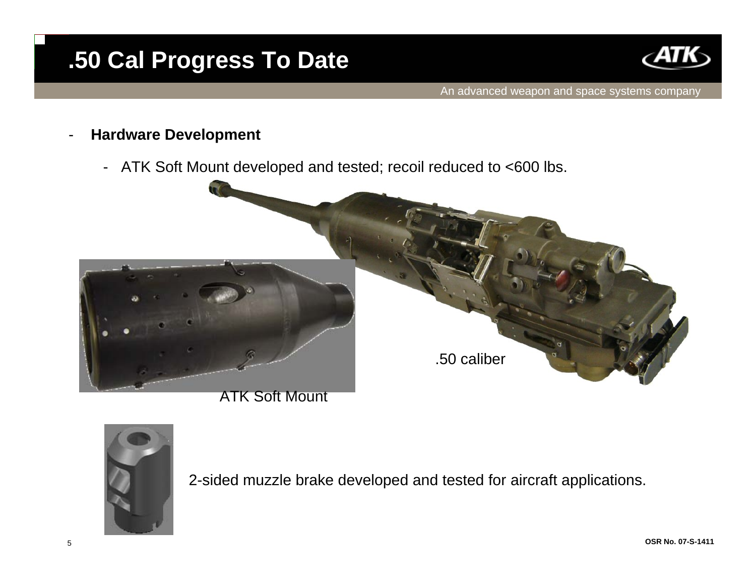

### **Hardware Development**

- ATK Soft Mount developed and tested; recoil reduced to <600 lbs.



ATK Soft Mount



2-sided muzzle brake developed and tested for aircraft applications.

-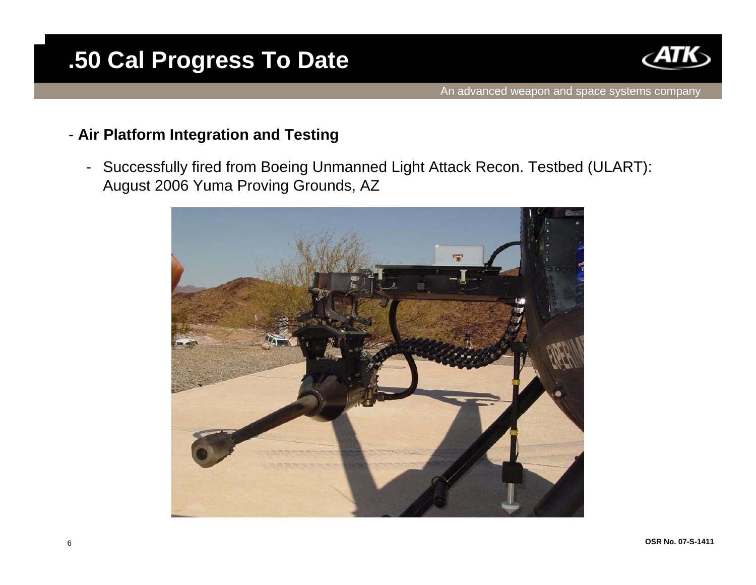

### - **Air Platform Integration and Testing**

- Successfully fired from Boeing Unmanned Light Attack Recon. Testbed (ULART): August 2006 Yuma Proving Grounds, AZ

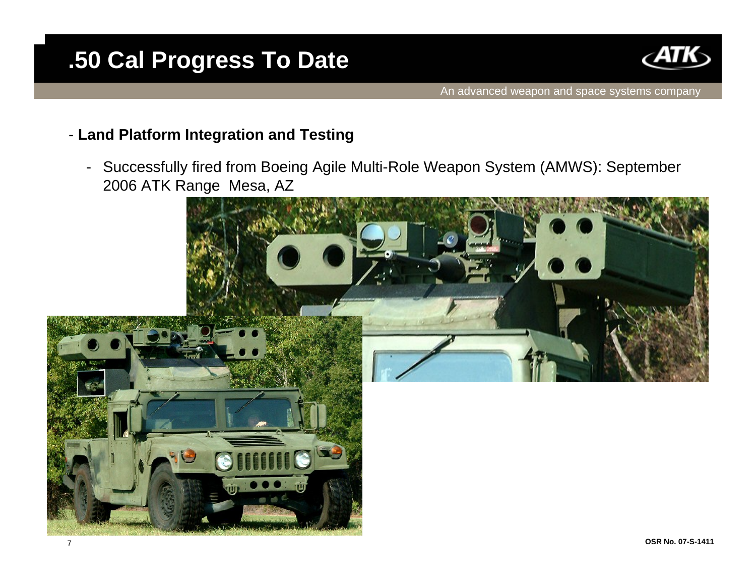

### - **Land Platform Integration and Testing**

- Successfully fired from Boeing Agile Multi-Role Weapon System (AMWS): September 2006 ATK Range Mesa, AZ

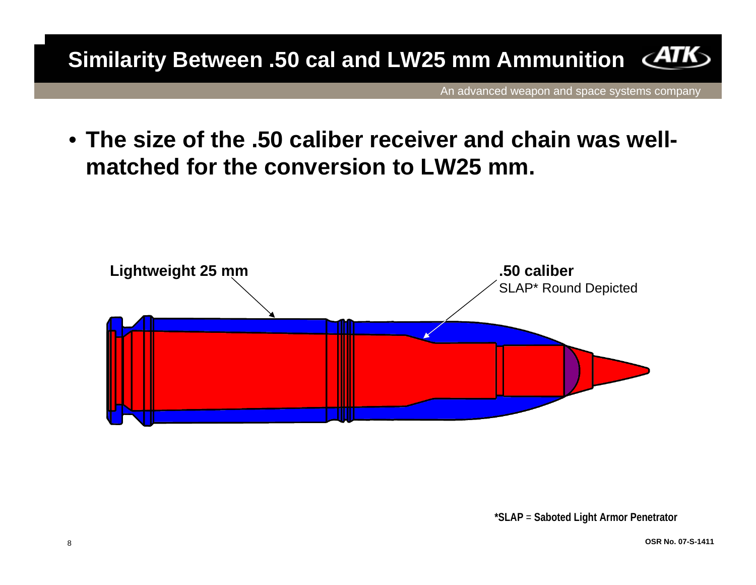**Similarity Between .50 cal and LW25 mm Ammunition**

An advanced weapon and space systems company

• **The size of the .50 caliber receiver and chain was wellmatched for the conversion to LW25 mm.**

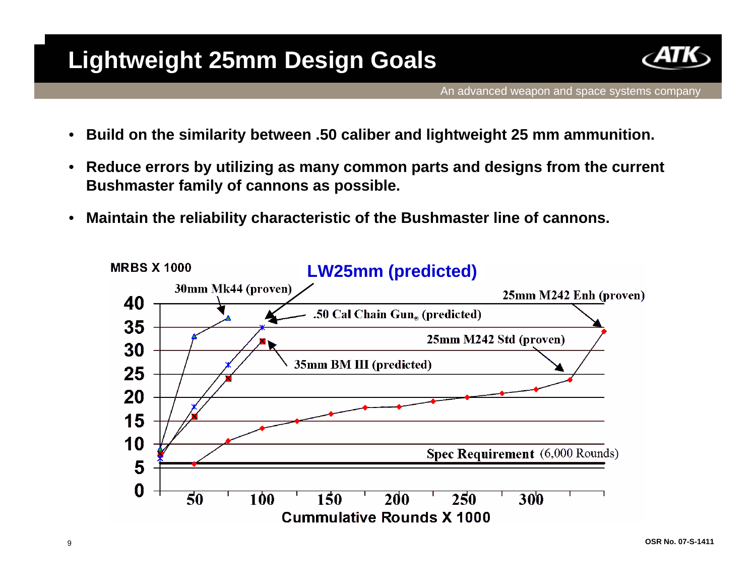

- •**Build on the similarity between .50 caliber and lightweight 25 mm ammunition.**
- • **Reduce errors by utilizing as many common parts and designs from the current Bushmaster family of cannons as possible.**
- •**Maintain the reliability characteristic of the Bushmaster line of cannons.**

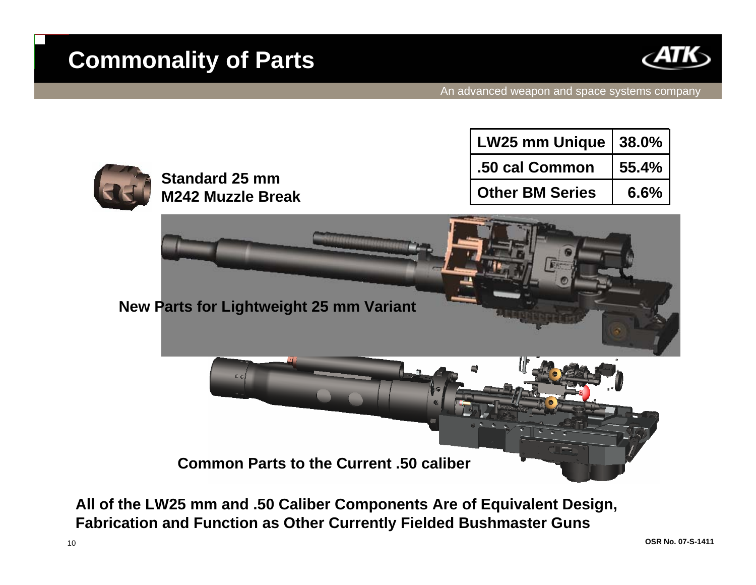

| <b>Standard 25 mm</b><br><b>M242 Muzzle Break</b> | LW25 mm Unique   38.0% |       |
|---------------------------------------------------|------------------------|-------|
|                                                   | .50 cal Common         | 55.4% |
|                                                   | <b>Other BM Series</b> | 6.6%  |





**All of the LW25 mm and .50 Caliber Components Are of Equivalent Design, Fabrication and Function as Other Currently Fielded Bushmaster Guns**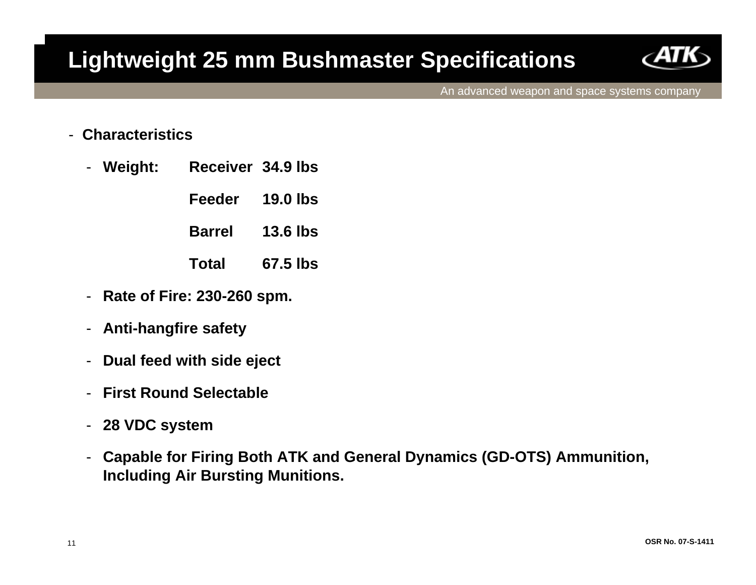

An advanced weapon and space systems company

#### -**Characteristics**

- - **Weight: Receiver 34.9 lbs**
	- **Feeder 19.0 lbs**
	- **Barrel 13.6 lbs**
	- **Total 67.5 lbs**
- -**Rate of Fire: 230-260 spm.**
- -**Anti-hangfire safety**
- $\blacksquare$ **Dual feed with side eject**
- -**First Round Selectable**
- -**28 VDC system**
- - **Capable for Firing Both ATK and General Dynamics (GD-OTS) Ammunition, Including Air Bursting Munitions.**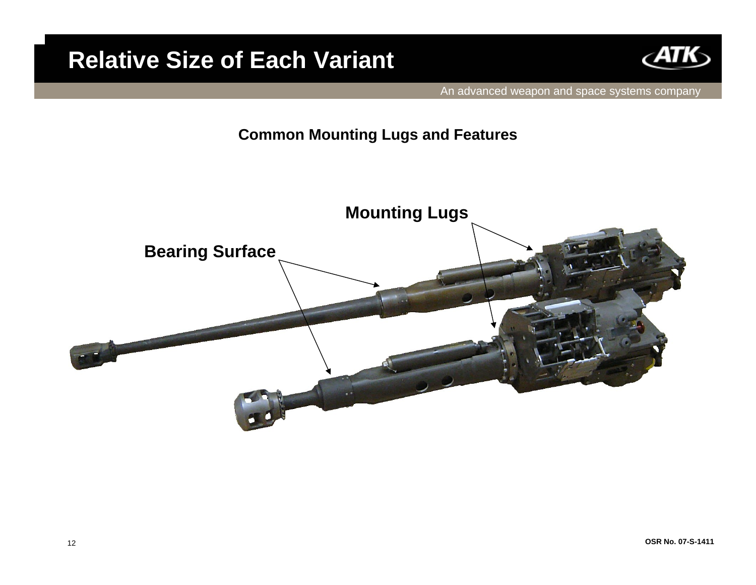## **Relative Size of Each Variant**



An advanced weapon and space systems company

### **Common Mounting Lugs and Features**

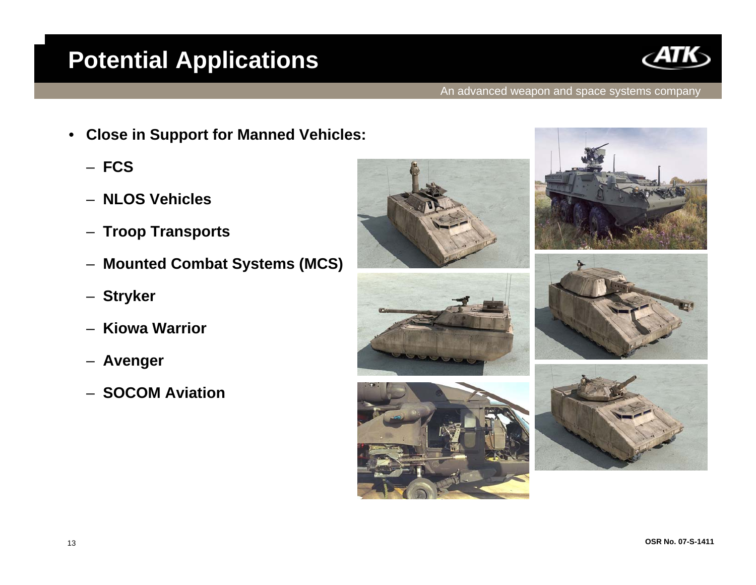# **Potential Applications**



#### An advanced weapon and space systems company

- • **Close in Support for Manned Vehicles:**
	- **FCS**
	- **NLOS Vehicles**
	- –**Troop Transports**
	- –**Mounted Combat Systems (MCS)**
	- –**Stryker**
	- –**Kiowa Warrior**
	- –**Avenger**
	- **SOCOM Aviation**







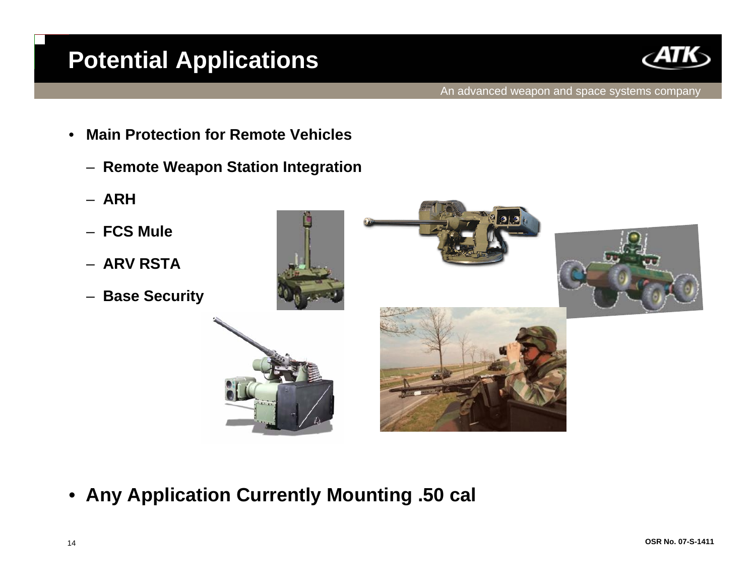## **Potential Applications**



- • **Main Protection for Remote Vehicles**
	- **Remote Weapon Station Integration**
	- **ARH**
	- **FCS Mule**
	- **ARV RSTA**
	- –**Base Security**







•**Any Application Currently Mounting .50 cal**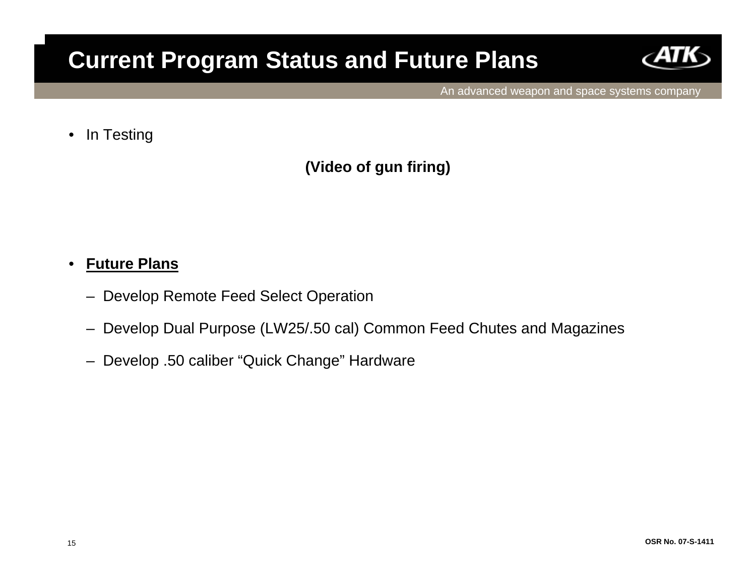### **Current Program Status and Future Plans**



An advanced weapon and space systems company

•In Testing

**(Video of gun firing)**

#### •**Future Plans**

- –Develop Remote Feed Select Operation
- –Develop Dual Purpose (LW25/.50 cal) Common Feed Chutes and Magazines
- –Develop .50 caliber "Quick Change" Hardware